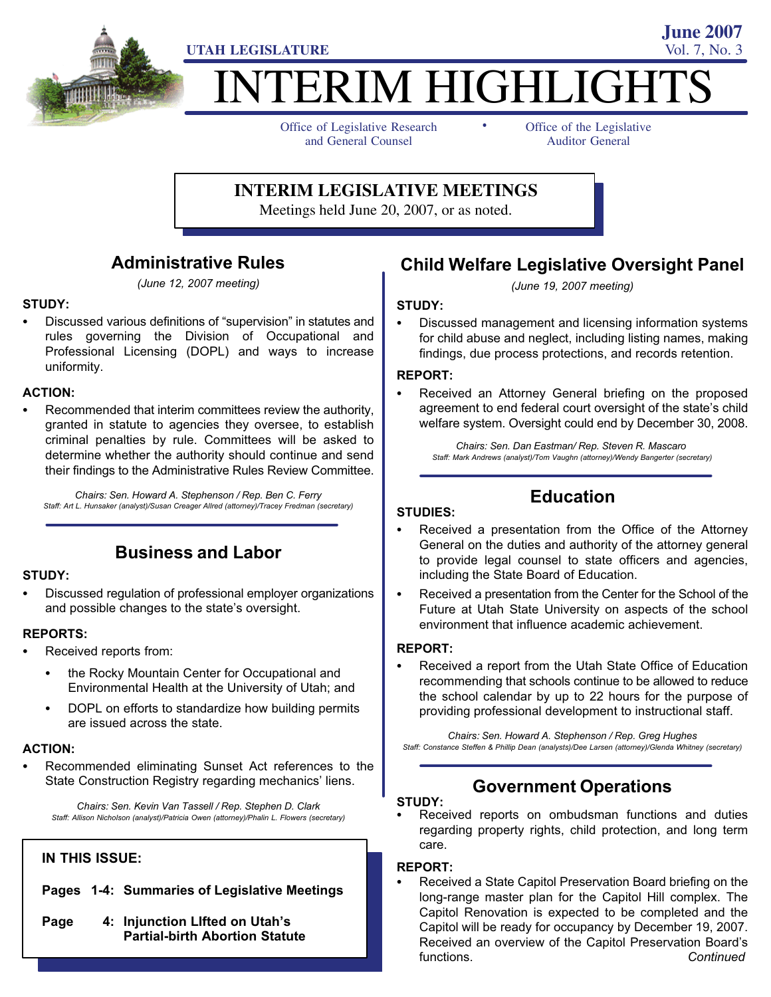

# **ITERIM HIGHLIGHTS**

-

Office of Legislative Research and General Counsel

Office of the Legislative Auditor General

**June 2007**

#### **INTERIM LEGISLATIVE MEETINGS**

Meetings held June 20, 2007, or as noted.

#### Administrative Rules

(June 12, 2007 meeting)

# STUDY: -

• Discussed various definitions of "supervision" in statutes and rules governing the Division of Occupational and Professional Licensing (DOPL) and ways to increase uniformity.

# ACTION: -

 Recommended that interim committees review the authority, granted in statute to agencies they oversee, to establish criminal penalties by rule. Committees will be asked to determine whether the authority should continue and send their findings to the Administrative Rules Review Committee.

Chairs: Sen. Howard A. Stephenson / Rep. Ben C. Ferry Staff: Art L. Hunsaker (analyst)/Susan Creager Allred (attorney)/Tracey Fredman (secretary)

#### Business and Labor

# STUDY: -

 Discussed regulation of professional employer organizations and possible changes to the state's oversight.

## REPORTS:<br>—

- Received reports from:
	- $\bullet$  the Rocky Mountain Center for Occupational and Environmental Health at the University of Utah; and
	- DOPL on efforts to standardize how building permits are issued across the state.

# ACTION: -

 Recommended eliminating Sunset Act references to the State Construction Registry regarding mechanics' liens.

Chairs: Sen. Kevin Van Tassell / Rep. Stephen D. Clark Staff: Allison Nicholson (analyst)/Patricia Owen (attorney)/Phalin L. Flowers (secretary)

#### IN THIS ISSUE:

- Pages 1−4: Summaries of Legislative Meetings
- Page 4: Injunction LIfted on Utah's Partial−birth Abortion Statute

### Child Welfare Legislative Oversight Panel

(June 19, 2007 meeting)

# STUDY:<br>--

 Discussed management and licensing information systems for child abuse and neglect, including listing names, making findings, due process protections, and records retention.

#### REPORT:<br>-

 Received an Attorney General briefing on the proposed agreement to end federal court oversight of the state's child welfare system. Oversight could end by December 30, 2008.

Chairs: Sen. Dan Eastman/ Rep. Steven R. Mascaro Staff: Mark Andrews (analyst)/Tom Vaughn (attorney)/Wendy Bangerter (secretary)

# Education

# STUDIES: -

- Received a presentation from the Office of the Attorney General on the duties and authority of the attorney general to provide legal counsel to state officers and agencies, including the State Board of Education.
- Received a presentation from the Center for the School of the Future at Utah State University on aspects of the school environment that influence academic achievement.

#### REPORT:<br>-

 Received a report from the Utah State Office of Education recommending that schools continue to be allowed to reduce the school calendar by up to 22 hours for the purpose of providing professional development to instructional staff.

Chairs: Sen. Howard A. Stephenson / Rep. Greg Hughes Staff: Constance Steffen & Phillip Dean (analysts)/Dee Larsen (attorney)/Glenda Whitney (secretary)

#### Government Operations

## STUDY: -

 Received reports on ombudsman functions and duties regarding property rights, child protection, and long term care.

#### REPORT: -

 Received a State Capitol Preservation Board briefing on the long−range master plan for the Capitol Hill complex. The Capitol Renovation is expected to be completed and the Capitol will be ready for occupancy by December 19, 2007. Received an overview of the Capitol Preservation Board's functions. Continued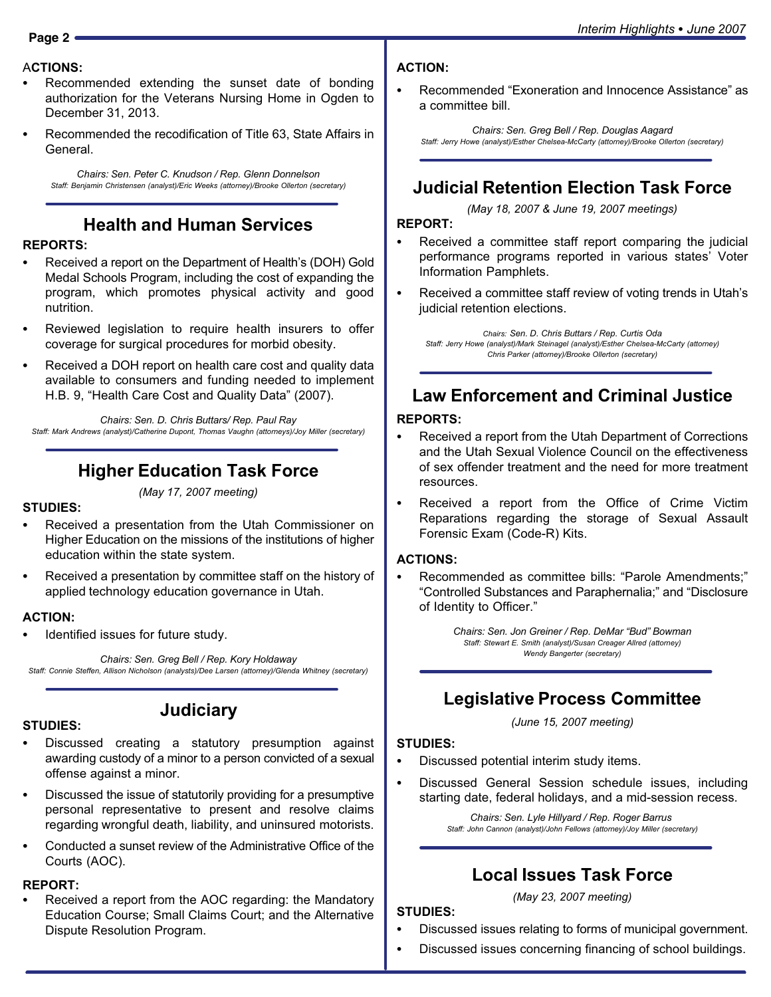# Interim Highlights - *June*<sup>2007</sup> **Page 2**

#### ACTIONS: -

- Recommended extending the sunset date of bonding authorization for the Veterans Nursing Home in Ogden to December 31, 2013.
- Recommended the recodification of Title 63, State Affairs in General.

Chairs: Sen. Peter C. Knudson / Rep. Glenn Donnelson Staff: Benjamin Christensen (analyst)/Eric Weeks (attorney)/Brooke Ollerton (secretary)

#### Health and Human Services

#### REPORTS:<br>—

- Received a report on the Department of Health's (DOH) Gold Medal Schools Program, including the cost of expanding the program, which promotes physical activity and good nutrition.
- Reviewed legislation to require health insurers to offer coverage for surgical procedures for morbid obesity.
- Received a DOH report on health care cost and quality data available to consumers and funding needed to implement H.B. 9, "Health Care Cost and Quality Data" (2007).

Chairs: Sen. D. Chris Buttars/ Rep. Paul Ray Staff: Mark Andrews (analyst)/Catherine Dupont, Thomas Vaughn (attorneys)/Joy Miller (secretary)

#### Higher Education Task Force

#### (May 17, 2007 meeting)

#### STUDIES:<br>-

- Received a presentation from the Utah Commissioner on Higher Education on the missions of the institutions of higher education within the state system.
- Received a presentation by committee staff on the history of applied technology education governance in Utah.

#### ACTION:<br>..

Identified issues for future study.

Chairs: Sen. Greg Bell / Rep. Kory Holdaway Staff: Connie Steffen, Allison Nicholson (analysts)/Dee Larsen (attorney)/Glenda Whitney (secretary)

**Judiciary** 

## STUDIES:<br>--

- Discussed creating a statutory presumption against awarding custody of a minor to a person convicted of a sexual offense against a minor.
- Discussed the issue of statutorily providing for a presumptive personal representative to present and resolve claims regarding wrongful death, liability, and uninsured motorists.
- Conducted a sunset review of the Administrative Office of the Courts (AOC).

#### REPORT:

 Received a report from the AOC regarding: the Mandatory Education Course; Small Claims Court; and the Alternative Dispute Resolution Program.

- ACTION:
- Recommended "Exoneration and Innocence Assistance" as a committee bill.

Chairs: Sen. Greg Bell / Rep. Douglas Aagard Staff: Jerry Howe (analyst)/Esther Chelsea−McCarty (attorney)/Brooke Ollerton (secretary)

#### Judicial Retention Election Task Force

(May 18, 2007 & June 19, 2007 meetings)

REPORT: -

- Received a committee staff report comparing the judicial performance programs reported in various states' Voter Information Pamphlets.
- Received a committee staff review of voting trends in Utah's judicial retention elections.

Chairs: Sen. D. Chris Buttars / Rep. Curtis Oda Staff: Jerry Howe (analyst)/Mark Steinagel (analyst)/Esther Chelsea−McCarty (attorney) Chris Parker (attorney)/Brooke Ollerton (secretary)

#### Law Enforcement and Criminal Justice

#### REPORTS:<br>—

- Received a report from the Utah Department of Corrections and the Utah Sexual Violence Council on the effectiveness of sex offender treatment and the need for more treatment resources.
- Received a report from the Office of Crime Victim Reparations regarding the storage of Sexual Assault Forensic Exam (Code−R) Kits.

#### ACTIONS: -

• Recommended as committee bills: "Parole Amendments;" "Controlled Substances and Paraphernalia;" and "Disclosure of Identity to Officer."

> Chairs: Sen. Jon Greiner / Rep. DeMar "Bud" Bowman Staff: Stewart E. Smith (analyst)/Susan Creager Allred (attorney) Wendy Bangerter (secretary)

#### Legislative Process Committee

(June 15, 2007 meeting)

# STUDIES:<br>-

- Discussed potential interim study items.
- Discussed General Session schedule issues, including starting date, federal holidays, and a mid−session recess.

Chairs: Sen. Lyle Hillyard / Rep. Roger Barrus Staff: John Cannon (analyst)/John Fellows (attorney)/Joy Miller (secretary)

#### Local Issues Task Force

#### (May 23, 2007 meeting)

#### STUDIES:<br>--

- Discussed issues relating to forms of municipal government.
- Discussed issues concerning financing of school buildings.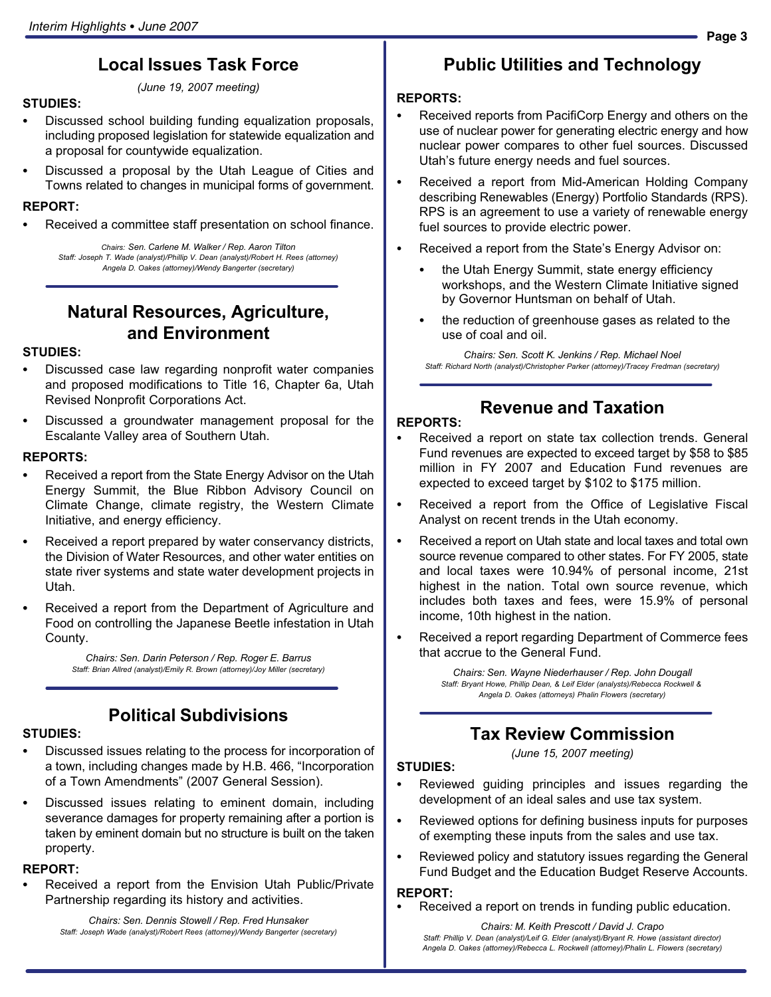## Local Issues Task Force

(June 19, 2007 meeting)

# STUDIES:<br>--

- Discussed school building funding equalization proposals, including proposed legislation for statewide equalization and a proposal for countywide equalization.
- Discussed a proposal by the Utah League of Cities and Towns related to changes in municipal forms of government.

# REPORT:<br>-

Received a committee staff presentation on school finance.

Chairs: Sen. Carlene M. Walker / Rep. Aaron Tilton Staff: Joseph T. Wade (analyst)/Phillip V. Dean (analyst)/Robert H. Rees (attorney) Angela D. Oakes (attorney)/Wendy Bangerter (secretary)

#### Natural Resources, Agriculture, and Environment

## STUDIES:<br>--

- Discussed case law regarding nonprofit water companies and proposed modifications to Title 16, Chapter 6a, Utah Revised Nonprofit Corporations Act.
- Discussed a groundwater management proposal for the Escalante Valley area of Southern Utah.

#### REPORTS: -

- Received a report from the State Energy Advisor on the Utah Energy Summit, the Blue Ribbon Advisory Council on Climate Change, climate registry, the Western Climate Initiative, and energy efficiency.
- Received a report prepared by water conservancy districts, the Division of Water Resources, and other water entities on state river systems and state water development projects in Utah.
- Received a report from the Department of Agriculture and Food on controlling the Japanese Beetle infestation in Utah County.

Chairs: Sen. Darin Peterson / Rep. Roger E. Barrus Staff: Brian Allred (analyst)/Emily R. Brown (attorney)/Joy Miller (secretary)

#### Political Subdivisions

## STUDIES:<br>--

- Discussed issues relating to the process for incorporation of a town, including changes made by H.B. 466, "Incorporation of a Town Amendments" (2007 General Session).
- Discussed issues relating to eminent domain, including severance damages for property remaining after a portion is taken by eminent domain but no structure is built on the taken property.

#### REPORT:

 Received a report from the Envision Utah Public/Private Partnership regarding its history and activities.

Chairs: Sen. Dennis Stowell / Rep. Fred Hunsaker Staff: Joseph Wade (analyst)/Robert Rees (attorney)/Wendy Bangerter (secretary)

# Public Utilities and Technology

#### REPORTS: -

- Received reports from PacifiCorp Energy and others on the use of nuclear power for generating electric energy and how nuclear power compares to other fuel sources. Discussed Utah's future energy needs and fuel sources.
- Received a report from Mid−American Holding Company describing Renewables (Energy) Portfolio Standards (RPS). RPS is an agreement to use a variety of renewable energy fuel sources to provide electric power.
- Received a report from the State's Energy Advisor on:
	- the Utah Energy Summit, state energy efficiency workshops, and the Western Climate Initiative signed by Governor Huntsman on behalf of Utah.
	- the reduction of greenhouse gases as related to the use of coal and oil.

Chairs: Sen. Scott K. Jenkins / Rep. Michael Noel Staff: Richard North (analyst)/Christopher Parker (attorney)/Tracey Fredman (secretary)

#### Revenue and Taxation

#### REPORTS: -

- Received a report on state tax collection trends. General Fund revenues are expected to exceed target by \$58 to \$85 million in FY 2007 and Education Fund revenues are expected to exceed target by \$102 to \$175 million.
- Received a report from the Office of Legislative Fiscal Analyst on recent trends in the Utah economy.
- Received a report on Utah state and local taxes and total own source revenue compared to other states. For FY 2005, state and local taxes were 10.94% of personal income, 21st highest in the nation. Total own source revenue, which includes both taxes and fees, were 15.9% of personal income, 10th highest in the nation.
- Received a report regarding Department of Commerce fees that accrue to the General Fund.

Chairs: Sen. Wayne Niederhauser / Rep. John Dougall Staff: Bryant Howe, Phillip Dean, & Leif Elder (analysts)/Rebecca Rockwell & Angela D. Oakes (attorneys) Phalin Flowers (secretary)

#### Tax Review Commission

(June 15, 2007 meeting)

# STUDIES:<br>-

- Reviewed guiding principles and issues regarding the development of an ideal sales and use tax system.
- Reviewed options for defining business inputs for purposes of exempting these inputs from the sales and use tax.
- Reviewed policy and statutory issues regarding the General Fund Budget and the Education Budget Reserve Accounts.

#### REPORT:

Received a report on trends in funding public education.

Chairs: M. Keith Prescott / David J. Crapo Staff: Phillip V. Dean (analyst)/Leif G. Elder (analyst)/Bryant R. Howe (assistant director)

Angela D. Oakes (attorney)/Rebecca L. Rockwell (attorney)/Phalin L. Flowers (secretary)